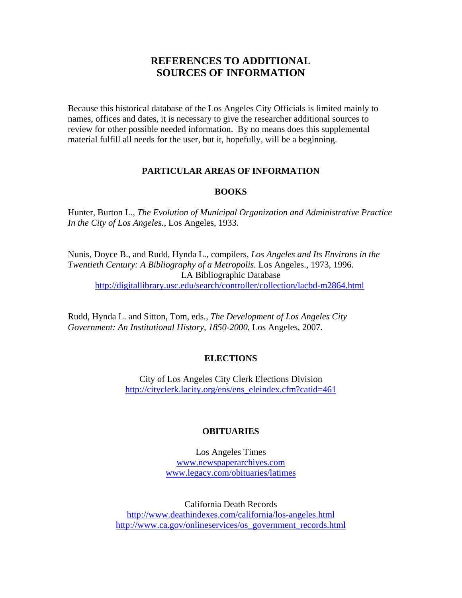# **REFERENCES TO ADDITIONAL SOURCES OF INFORMATION**

Because this historical database of the Los Angeles City Officials is limited mainly to names, offices and dates, it is necessary to give the researcher additional sources to review for other possible needed information. By no means does this supplemental material fulfill all needs for the user, but it, hopefully, will be a beginning.

## **PARTICULAR AREAS OF INFORMATION**

#### **BOOKS**

Hunter, Burton L., *The Evolution of Municipal Organization and Administrative Practice In the City of Los Angeles.,* Los Angeles, 1933.

Nunis, Doyce B., and Rudd, Hynda L., compilers, *Los Angeles and Its Environs in the Twentieth Century: A Bibliography of a Metropolis.* Los Angeles., 1973, 1996. LA Bibliographic Database http://digitallibrary.usc.edu/search/controller/collection/lacbd-m2864.html

Rudd, Hynda L. and Sitton, Tom, eds., *The Development of Los Angeles City*  Government: An Institutional History, 1850-2000, Los Angeles, 2007.

### **ELECTIONS**

 City of Los Angeles City Clerk Elections Division http://cityclerk.lacity.org/ens/ens\_eleindex.cfm?catid=461

### **OBITUARIES**

Los Angeles Times www.newspaperarchives.com www.legacy.com/obituaries/latimes

California Death Records http://www.deathindexes.com/california/los-angeles.html http://www.ca.gov/onlineservices/os\_government\_records.html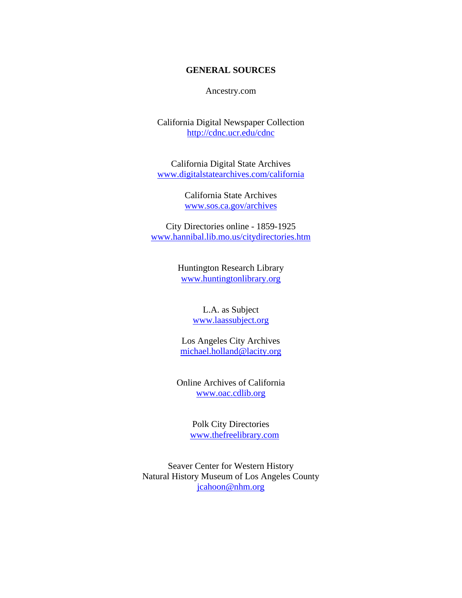### **GENERAL SOURCES**

Ancestry.com

California Digital Newspaper Collection http://cdnc.ucr.edu/cdnc

California Digital State Archives www.digitalstatearchives.com/california

> California State Archives www.sos.ca.gov/archives

City Directories online - 1859-1925 www.hannibal.lib.mo.us/citydirectories.htm

> Huntington Research Library www.huntingtonlibrary.org

> > L.A. as Subject www.laassubject.org

Los Angeles City Archives michael.holland@lacity.org

Online Archives of California www.oac.cdlib.org

> Polk City Directories www.thefreelibrary.com

Seaver Center for Western History Natural History Museum of Los Angeles County jcahoon@nhm.org